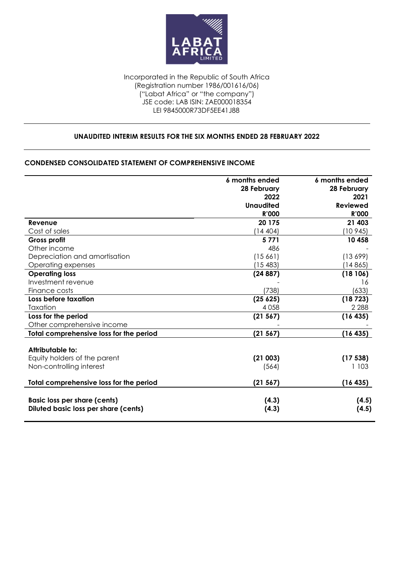

#### Incorporated in the Republic of South Africa (Registration number 1986/001616/06) ("Labat Africa" or "the company")  $\overline{\phantom{a}}$  JSE code: LAB ISIN: ZAE000018354 LEI 9845000R73DF5EE41J88

### **UNAUDITED INTERIM RESULTS FOR THE SIX MONTHS ENDED 28 FEBRUARY 2022**

### **CONDENSED CONSOLIDATED STATEMENT OF COMPREHENSIVE INCOME**

|                                                                             | 6 months ended   | 6 months ended  |
|-----------------------------------------------------------------------------|------------------|-----------------|
|                                                                             | 28 February      | 28 February     |
|                                                                             | 2022             | 2021            |
|                                                                             | <b>Unaudited</b> | <b>Reviewed</b> |
|                                                                             | <b>R'000</b>     | <b>R'000</b>    |
| Revenue                                                                     | 20 175           | 21 403          |
| Cost of sales                                                               | (14404)          | (10945)         |
| Gross profit                                                                | 5771             | 10 458          |
| Other income                                                                | 486              |                 |
| Depreciation and amortisation                                               | (15661)          | (13699)         |
| Operating expenses                                                          | (15483)          | (14865)         |
| <b>Operating loss</b>                                                       | (24887)          | (18106)         |
| Investment revenue                                                          |                  | 16              |
| Finance costs                                                               | (738)            | (633)           |
| Loss before taxation                                                        | (25625)          | (18723)         |
| Taxation                                                                    | 4 0 5 8          | 2 2 8 8         |
| Loss for the period                                                         | (21 567)         | (16435)         |
| Other comprehensive income                                                  |                  |                 |
| Total comprehensive loss for the period                                     | (21567)          | (16435)         |
| Attributable to:                                                            |                  |                 |
| Equity holders of the parent                                                | (21003)          | (17538)         |
| Non-controlling interest                                                    | (564)            | 1 1 0 3         |
| Total comprehensive loss for the period                                     | (21 567)         | (16435)         |
| <b>Basic loss per share (cents)</b><br>Diluted basic loss per share (cents) | (4.3)<br>(4.3)   | (4.5)<br>(4.5)  |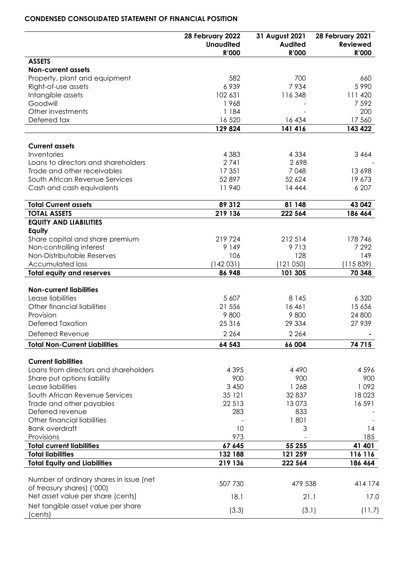### **CONDENSED CONSOLIDATED STATEMENT OF FINANCIAL POSITION**

| <b>Unaudited</b><br><b>Audited</b><br><b>Reviewed</b><br><b>R'000</b><br><b>R'000</b><br><b>R'000</b><br><b>ASSETS</b><br><b>Non-current assets</b><br>582<br>700<br>Property, plant and equipment<br>660<br>6939<br>7934<br>5 9 9 0<br>Right-of-use assets<br>Intangible assets<br>102 631<br>116348<br>111 420<br>7 5 9 2<br>Goodwill<br>1968<br>Other investments<br>1 184<br>200<br>Deferred tax<br>16 5 20<br>17 560<br>16 434<br>129 824<br>141 416<br>143 422<br><b>Current assets</b><br>Inventories<br>4 3 8 3<br>4 3 3 4<br>3 4 6 4<br>Loans to directors and shareholders<br>2741<br>2698<br>Trade and other receivables<br>17 351<br>7048<br>13 698<br>South African Revenue Services<br>52897<br>52 624<br>19 673<br>11940<br>6 207<br>Cash and cash equivalents<br>14 4 4 4<br><b>Total Current assets</b><br>89 312<br>81 148<br>43 042<br>219 136<br><b>TOTAL ASSETS</b><br>222 564<br>186 464<br><b>EQUITY AND LIABILITIES</b><br>Equity<br>219724<br>212 514<br>Share capital and share premium<br>178746<br>Non-controlling interest<br>9 1 4 9<br>9713<br>7 2 9 2<br>Non-Distributable Reserves<br>106<br>128<br>149<br>(142031)<br>(121050)<br><b>Accumulated loss</b><br>(115839)<br><b>Total equity and reserves</b><br>101 305<br>70 348<br>86 948<br><b>Non-current liabilities</b><br>Lease liabilities<br>5 607<br>6 3 2 0<br>8 1 4 5<br>Other financial liabilities<br>21 556<br>16 461<br>15 656<br>Provision<br>9800<br>9800<br>24 800<br><b>Deferred Taxation</b><br>25316<br>29 3 34<br>27 939<br>2 2 6 4<br>Deferred Revenue<br>2 2 6 4<br><b>Total Non-Current Liabilities</b><br>64 543<br>74 715<br>66 004<br><b>Current liabilities</b><br>Loans from directors and shareholders<br>4 3 9 5<br>4 4 9 0<br>4596<br>900<br>900<br>900<br>Share put options liability<br>3 4 5 0<br>1 2 6 8<br>1092<br>Lease liabilities<br>35 121<br>South African Revenue Services<br>32 837<br>18023<br>22 513<br>Trade and other payables<br>13073<br>16591<br>Deferred revenue<br>283<br>833<br>Other financial liabilities<br>1801<br><b>Bank overdraft</b><br>10<br>3<br>14<br>973<br>185<br>Provisions<br><b>Total current liabilities</b><br>67 645<br>55 255<br>41 401<br><b>Total liabilities</b><br>132 188<br>121 259<br>116 116<br><b>Total Equity and Liabilities</b><br>219 136<br>222 564<br>186 464<br>Number of ordinary shares in issue (net<br>507 730<br>479 538<br>414 174<br>of treasury shares) ('000)<br>Net asset value per share (cents)<br>18.1<br>21.1<br>17.0<br>Net tangible asset value per share<br>(3.3)<br>(3.1)<br>(11.7)<br>(cents) | 28 February 2022 | 31 August 2021 | 28 February 2021 |
|---------------------------------------------------------------------------------------------------------------------------------------------------------------------------------------------------------------------------------------------------------------------------------------------------------------------------------------------------------------------------------------------------------------------------------------------------------------------------------------------------------------------------------------------------------------------------------------------------------------------------------------------------------------------------------------------------------------------------------------------------------------------------------------------------------------------------------------------------------------------------------------------------------------------------------------------------------------------------------------------------------------------------------------------------------------------------------------------------------------------------------------------------------------------------------------------------------------------------------------------------------------------------------------------------------------------------------------------------------------------------------------------------------------------------------------------------------------------------------------------------------------------------------------------------------------------------------------------------------------------------------------------------------------------------------------------------------------------------------------------------------------------------------------------------------------------------------------------------------------------------------------------------------------------------------------------------------------------------------------------------------------------------------------------------------------------------------------------------------------------------------------------------------------------------------------------------------------------------------------------------------------------------------------------------------------------------------------------------------------------------------------------------------------------------------------------------------------------------------------------------------------------------------------------------------------------------------------------|------------------|----------------|------------------|
|                                                                                                                                                                                                                                                                                                                                                                                                                                                                                                                                                                                                                                                                                                                                                                                                                                                                                                                                                                                                                                                                                                                                                                                                                                                                                                                                                                                                                                                                                                                                                                                                                                                                                                                                                                                                                                                                                                                                                                                                                                                                                                                                                                                                                                                                                                                                                                                                                                                                                                                                                                                             |                  |                |                  |
|                                                                                                                                                                                                                                                                                                                                                                                                                                                                                                                                                                                                                                                                                                                                                                                                                                                                                                                                                                                                                                                                                                                                                                                                                                                                                                                                                                                                                                                                                                                                                                                                                                                                                                                                                                                                                                                                                                                                                                                                                                                                                                                                                                                                                                                                                                                                                                                                                                                                                                                                                                                             |                  |                |                  |
|                                                                                                                                                                                                                                                                                                                                                                                                                                                                                                                                                                                                                                                                                                                                                                                                                                                                                                                                                                                                                                                                                                                                                                                                                                                                                                                                                                                                                                                                                                                                                                                                                                                                                                                                                                                                                                                                                                                                                                                                                                                                                                                                                                                                                                                                                                                                                                                                                                                                                                                                                                                             |                  |                |                  |
|                                                                                                                                                                                                                                                                                                                                                                                                                                                                                                                                                                                                                                                                                                                                                                                                                                                                                                                                                                                                                                                                                                                                                                                                                                                                                                                                                                                                                                                                                                                                                                                                                                                                                                                                                                                                                                                                                                                                                                                                                                                                                                                                                                                                                                                                                                                                                                                                                                                                                                                                                                                             |                  |                |                  |
|                                                                                                                                                                                                                                                                                                                                                                                                                                                                                                                                                                                                                                                                                                                                                                                                                                                                                                                                                                                                                                                                                                                                                                                                                                                                                                                                                                                                                                                                                                                                                                                                                                                                                                                                                                                                                                                                                                                                                                                                                                                                                                                                                                                                                                                                                                                                                                                                                                                                                                                                                                                             |                  |                |                  |
|                                                                                                                                                                                                                                                                                                                                                                                                                                                                                                                                                                                                                                                                                                                                                                                                                                                                                                                                                                                                                                                                                                                                                                                                                                                                                                                                                                                                                                                                                                                                                                                                                                                                                                                                                                                                                                                                                                                                                                                                                                                                                                                                                                                                                                                                                                                                                                                                                                                                                                                                                                                             |                  |                |                  |
|                                                                                                                                                                                                                                                                                                                                                                                                                                                                                                                                                                                                                                                                                                                                                                                                                                                                                                                                                                                                                                                                                                                                                                                                                                                                                                                                                                                                                                                                                                                                                                                                                                                                                                                                                                                                                                                                                                                                                                                                                                                                                                                                                                                                                                                                                                                                                                                                                                                                                                                                                                                             |                  |                |                  |
|                                                                                                                                                                                                                                                                                                                                                                                                                                                                                                                                                                                                                                                                                                                                                                                                                                                                                                                                                                                                                                                                                                                                                                                                                                                                                                                                                                                                                                                                                                                                                                                                                                                                                                                                                                                                                                                                                                                                                                                                                                                                                                                                                                                                                                                                                                                                                                                                                                                                                                                                                                                             |                  |                |                  |
|                                                                                                                                                                                                                                                                                                                                                                                                                                                                                                                                                                                                                                                                                                                                                                                                                                                                                                                                                                                                                                                                                                                                                                                                                                                                                                                                                                                                                                                                                                                                                                                                                                                                                                                                                                                                                                                                                                                                                                                                                                                                                                                                                                                                                                                                                                                                                                                                                                                                                                                                                                                             |                  |                |                  |
|                                                                                                                                                                                                                                                                                                                                                                                                                                                                                                                                                                                                                                                                                                                                                                                                                                                                                                                                                                                                                                                                                                                                                                                                                                                                                                                                                                                                                                                                                                                                                                                                                                                                                                                                                                                                                                                                                                                                                                                                                                                                                                                                                                                                                                                                                                                                                                                                                                                                                                                                                                                             |                  |                |                  |
|                                                                                                                                                                                                                                                                                                                                                                                                                                                                                                                                                                                                                                                                                                                                                                                                                                                                                                                                                                                                                                                                                                                                                                                                                                                                                                                                                                                                                                                                                                                                                                                                                                                                                                                                                                                                                                                                                                                                                                                                                                                                                                                                                                                                                                                                                                                                                                                                                                                                                                                                                                                             |                  |                |                  |
|                                                                                                                                                                                                                                                                                                                                                                                                                                                                                                                                                                                                                                                                                                                                                                                                                                                                                                                                                                                                                                                                                                                                                                                                                                                                                                                                                                                                                                                                                                                                                                                                                                                                                                                                                                                                                                                                                                                                                                                                                                                                                                                                                                                                                                                                                                                                                                                                                                                                                                                                                                                             |                  |                |                  |
|                                                                                                                                                                                                                                                                                                                                                                                                                                                                                                                                                                                                                                                                                                                                                                                                                                                                                                                                                                                                                                                                                                                                                                                                                                                                                                                                                                                                                                                                                                                                                                                                                                                                                                                                                                                                                                                                                                                                                                                                                                                                                                                                                                                                                                                                                                                                                                                                                                                                                                                                                                                             |                  |                |                  |
|                                                                                                                                                                                                                                                                                                                                                                                                                                                                                                                                                                                                                                                                                                                                                                                                                                                                                                                                                                                                                                                                                                                                                                                                                                                                                                                                                                                                                                                                                                                                                                                                                                                                                                                                                                                                                                                                                                                                                                                                                                                                                                                                                                                                                                                                                                                                                                                                                                                                                                                                                                                             |                  |                |                  |
|                                                                                                                                                                                                                                                                                                                                                                                                                                                                                                                                                                                                                                                                                                                                                                                                                                                                                                                                                                                                                                                                                                                                                                                                                                                                                                                                                                                                                                                                                                                                                                                                                                                                                                                                                                                                                                                                                                                                                                                                                                                                                                                                                                                                                                                                                                                                                                                                                                                                                                                                                                                             |                  |                |                  |
|                                                                                                                                                                                                                                                                                                                                                                                                                                                                                                                                                                                                                                                                                                                                                                                                                                                                                                                                                                                                                                                                                                                                                                                                                                                                                                                                                                                                                                                                                                                                                                                                                                                                                                                                                                                                                                                                                                                                                                                                                                                                                                                                                                                                                                                                                                                                                                                                                                                                                                                                                                                             |                  |                |                  |
|                                                                                                                                                                                                                                                                                                                                                                                                                                                                                                                                                                                                                                                                                                                                                                                                                                                                                                                                                                                                                                                                                                                                                                                                                                                                                                                                                                                                                                                                                                                                                                                                                                                                                                                                                                                                                                                                                                                                                                                                                                                                                                                                                                                                                                                                                                                                                                                                                                                                                                                                                                                             |                  |                |                  |
|                                                                                                                                                                                                                                                                                                                                                                                                                                                                                                                                                                                                                                                                                                                                                                                                                                                                                                                                                                                                                                                                                                                                                                                                                                                                                                                                                                                                                                                                                                                                                                                                                                                                                                                                                                                                                                                                                                                                                                                                                                                                                                                                                                                                                                                                                                                                                                                                                                                                                                                                                                                             |                  |                |                  |
|                                                                                                                                                                                                                                                                                                                                                                                                                                                                                                                                                                                                                                                                                                                                                                                                                                                                                                                                                                                                                                                                                                                                                                                                                                                                                                                                                                                                                                                                                                                                                                                                                                                                                                                                                                                                                                                                                                                                                                                                                                                                                                                                                                                                                                                                                                                                                                                                                                                                                                                                                                                             |                  |                |                  |
|                                                                                                                                                                                                                                                                                                                                                                                                                                                                                                                                                                                                                                                                                                                                                                                                                                                                                                                                                                                                                                                                                                                                                                                                                                                                                                                                                                                                                                                                                                                                                                                                                                                                                                                                                                                                                                                                                                                                                                                                                                                                                                                                                                                                                                                                                                                                                                                                                                                                                                                                                                                             |                  |                |                  |
|                                                                                                                                                                                                                                                                                                                                                                                                                                                                                                                                                                                                                                                                                                                                                                                                                                                                                                                                                                                                                                                                                                                                                                                                                                                                                                                                                                                                                                                                                                                                                                                                                                                                                                                                                                                                                                                                                                                                                                                                                                                                                                                                                                                                                                                                                                                                                                                                                                                                                                                                                                                             |                  |                |                  |
|                                                                                                                                                                                                                                                                                                                                                                                                                                                                                                                                                                                                                                                                                                                                                                                                                                                                                                                                                                                                                                                                                                                                                                                                                                                                                                                                                                                                                                                                                                                                                                                                                                                                                                                                                                                                                                                                                                                                                                                                                                                                                                                                                                                                                                                                                                                                                                                                                                                                                                                                                                                             |                  |                |                  |
|                                                                                                                                                                                                                                                                                                                                                                                                                                                                                                                                                                                                                                                                                                                                                                                                                                                                                                                                                                                                                                                                                                                                                                                                                                                                                                                                                                                                                                                                                                                                                                                                                                                                                                                                                                                                                                                                                                                                                                                                                                                                                                                                                                                                                                                                                                                                                                                                                                                                                                                                                                                             |                  |                |                  |
|                                                                                                                                                                                                                                                                                                                                                                                                                                                                                                                                                                                                                                                                                                                                                                                                                                                                                                                                                                                                                                                                                                                                                                                                                                                                                                                                                                                                                                                                                                                                                                                                                                                                                                                                                                                                                                                                                                                                                                                                                                                                                                                                                                                                                                                                                                                                                                                                                                                                                                                                                                                             |                  |                |                  |
|                                                                                                                                                                                                                                                                                                                                                                                                                                                                                                                                                                                                                                                                                                                                                                                                                                                                                                                                                                                                                                                                                                                                                                                                                                                                                                                                                                                                                                                                                                                                                                                                                                                                                                                                                                                                                                                                                                                                                                                                                                                                                                                                                                                                                                                                                                                                                                                                                                                                                                                                                                                             |                  |                |                  |
|                                                                                                                                                                                                                                                                                                                                                                                                                                                                                                                                                                                                                                                                                                                                                                                                                                                                                                                                                                                                                                                                                                                                                                                                                                                                                                                                                                                                                                                                                                                                                                                                                                                                                                                                                                                                                                                                                                                                                                                                                                                                                                                                                                                                                                                                                                                                                                                                                                                                                                                                                                                             |                  |                |                  |
|                                                                                                                                                                                                                                                                                                                                                                                                                                                                                                                                                                                                                                                                                                                                                                                                                                                                                                                                                                                                                                                                                                                                                                                                                                                                                                                                                                                                                                                                                                                                                                                                                                                                                                                                                                                                                                                                                                                                                                                                                                                                                                                                                                                                                                                                                                                                                                                                                                                                                                                                                                                             |                  |                |                  |
|                                                                                                                                                                                                                                                                                                                                                                                                                                                                                                                                                                                                                                                                                                                                                                                                                                                                                                                                                                                                                                                                                                                                                                                                                                                                                                                                                                                                                                                                                                                                                                                                                                                                                                                                                                                                                                                                                                                                                                                                                                                                                                                                                                                                                                                                                                                                                                                                                                                                                                                                                                                             |                  |                |                  |
|                                                                                                                                                                                                                                                                                                                                                                                                                                                                                                                                                                                                                                                                                                                                                                                                                                                                                                                                                                                                                                                                                                                                                                                                                                                                                                                                                                                                                                                                                                                                                                                                                                                                                                                                                                                                                                                                                                                                                                                                                                                                                                                                                                                                                                                                                                                                                                                                                                                                                                                                                                                             |                  |                |                  |
|                                                                                                                                                                                                                                                                                                                                                                                                                                                                                                                                                                                                                                                                                                                                                                                                                                                                                                                                                                                                                                                                                                                                                                                                                                                                                                                                                                                                                                                                                                                                                                                                                                                                                                                                                                                                                                                                                                                                                                                                                                                                                                                                                                                                                                                                                                                                                                                                                                                                                                                                                                                             |                  |                |                  |
|                                                                                                                                                                                                                                                                                                                                                                                                                                                                                                                                                                                                                                                                                                                                                                                                                                                                                                                                                                                                                                                                                                                                                                                                                                                                                                                                                                                                                                                                                                                                                                                                                                                                                                                                                                                                                                                                                                                                                                                                                                                                                                                                                                                                                                                                                                                                                                                                                                                                                                                                                                                             |                  |                |                  |
|                                                                                                                                                                                                                                                                                                                                                                                                                                                                                                                                                                                                                                                                                                                                                                                                                                                                                                                                                                                                                                                                                                                                                                                                                                                                                                                                                                                                                                                                                                                                                                                                                                                                                                                                                                                                                                                                                                                                                                                                                                                                                                                                                                                                                                                                                                                                                                                                                                                                                                                                                                                             |                  |                |                  |
|                                                                                                                                                                                                                                                                                                                                                                                                                                                                                                                                                                                                                                                                                                                                                                                                                                                                                                                                                                                                                                                                                                                                                                                                                                                                                                                                                                                                                                                                                                                                                                                                                                                                                                                                                                                                                                                                                                                                                                                                                                                                                                                                                                                                                                                                                                                                                                                                                                                                                                                                                                                             |                  |                |                  |
|                                                                                                                                                                                                                                                                                                                                                                                                                                                                                                                                                                                                                                                                                                                                                                                                                                                                                                                                                                                                                                                                                                                                                                                                                                                                                                                                                                                                                                                                                                                                                                                                                                                                                                                                                                                                                                                                                                                                                                                                                                                                                                                                                                                                                                                                                                                                                                                                                                                                                                                                                                                             |                  |                |                  |
|                                                                                                                                                                                                                                                                                                                                                                                                                                                                                                                                                                                                                                                                                                                                                                                                                                                                                                                                                                                                                                                                                                                                                                                                                                                                                                                                                                                                                                                                                                                                                                                                                                                                                                                                                                                                                                                                                                                                                                                                                                                                                                                                                                                                                                                                                                                                                                                                                                                                                                                                                                                             |                  |                |                  |
|                                                                                                                                                                                                                                                                                                                                                                                                                                                                                                                                                                                                                                                                                                                                                                                                                                                                                                                                                                                                                                                                                                                                                                                                                                                                                                                                                                                                                                                                                                                                                                                                                                                                                                                                                                                                                                                                                                                                                                                                                                                                                                                                                                                                                                                                                                                                                                                                                                                                                                                                                                                             |                  |                |                  |
|                                                                                                                                                                                                                                                                                                                                                                                                                                                                                                                                                                                                                                                                                                                                                                                                                                                                                                                                                                                                                                                                                                                                                                                                                                                                                                                                                                                                                                                                                                                                                                                                                                                                                                                                                                                                                                                                                                                                                                                                                                                                                                                                                                                                                                                                                                                                                                                                                                                                                                                                                                                             |                  |                |                  |
|                                                                                                                                                                                                                                                                                                                                                                                                                                                                                                                                                                                                                                                                                                                                                                                                                                                                                                                                                                                                                                                                                                                                                                                                                                                                                                                                                                                                                                                                                                                                                                                                                                                                                                                                                                                                                                                                                                                                                                                                                                                                                                                                                                                                                                                                                                                                                                                                                                                                                                                                                                                             |                  |                |                  |
|                                                                                                                                                                                                                                                                                                                                                                                                                                                                                                                                                                                                                                                                                                                                                                                                                                                                                                                                                                                                                                                                                                                                                                                                                                                                                                                                                                                                                                                                                                                                                                                                                                                                                                                                                                                                                                                                                                                                                                                                                                                                                                                                                                                                                                                                                                                                                                                                                                                                                                                                                                                             |                  |                |                  |
|                                                                                                                                                                                                                                                                                                                                                                                                                                                                                                                                                                                                                                                                                                                                                                                                                                                                                                                                                                                                                                                                                                                                                                                                                                                                                                                                                                                                                                                                                                                                                                                                                                                                                                                                                                                                                                                                                                                                                                                                                                                                                                                                                                                                                                                                                                                                                                                                                                                                                                                                                                                             |                  |                |                  |
|                                                                                                                                                                                                                                                                                                                                                                                                                                                                                                                                                                                                                                                                                                                                                                                                                                                                                                                                                                                                                                                                                                                                                                                                                                                                                                                                                                                                                                                                                                                                                                                                                                                                                                                                                                                                                                                                                                                                                                                                                                                                                                                                                                                                                                                                                                                                                                                                                                                                                                                                                                                             |                  |                |                  |
|                                                                                                                                                                                                                                                                                                                                                                                                                                                                                                                                                                                                                                                                                                                                                                                                                                                                                                                                                                                                                                                                                                                                                                                                                                                                                                                                                                                                                                                                                                                                                                                                                                                                                                                                                                                                                                                                                                                                                                                                                                                                                                                                                                                                                                                                                                                                                                                                                                                                                                                                                                                             |                  |                |                  |
|                                                                                                                                                                                                                                                                                                                                                                                                                                                                                                                                                                                                                                                                                                                                                                                                                                                                                                                                                                                                                                                                                                                                                                                                                                                                                                                                                                                                                                                                                                                                                                                                                                                                                                                                                                                                                                                                                                                                                                                                                                                                                                                                                                                                                                                                                                                                                                                                                                                                                                                                                                                             |                  |                |                  |
|                                                                                                                                                                                                                                                                                                                                                                                                                                                                                                                                                                                                                                                                                                                                                                                                                                                                                                                                                                                                                                                                                                                                                                                                                                                                                                                                                                                                                                                                                                                                                                                                                                                                                                                                                                                                                                                                                                                                                                                                                                                                                                                                                                                                                                                                                                                                                                                                                                                                                                                                                                                             |                  |                |                  |
|                                                                                                                                                                                                                                                                                                                                                                                                                                                                                                                                                                                                                                                                                                                                                                                                                                                                                                                                                                                                                                                                                                                                                                                                                                                                                                                                                                                                                                                                                                                                                                                                                                                                                                                                                                                                                                                                                                                                                                                                                                                                                                                                                                                                                                                                                                                                                                                                                                                                                                                                                                                             |                  |                |                  |
|                                                                                                                                                                                                                                                                                                                                                                                                                                                                                                                                                                                                                                                                                                                                                                                                                                                                                                                                                                                                                                                                                                                                                                                                                                                                                                                                                                                                                                                                                                                                                                                                                                                                                                                                                                                                                                                                                                                                                                                                                                                                                                                                                                                                                                                                                                                                                                                                                                                                                                                                                                                             |                  |                |                  |
|                                                                                                                                                                                                                                                                                                                                                                                                                                                                                                                                                                                                                                                                                                                                                                                                                                                                                                                                                                                                                                                                                                                                                                                                                                                                                                                                                                                                                                                                                                                                                                                                                                                                                                                                                                                                                                                                                                                                                                                                                                                                                                                                                                                                                                                                                                                                                                                                                                                                                                                                                                                             |                  |                |                  |
|                                                                                                                                                                                                                                                                                                                                                                                                                                                                                                                                                                                                                                                                                                                                                                                                                                                                                                                                                                                                                                                                                                                                                                                                                                                                                                                                                                                                                                                                                                                                                                                                                                                                                                                                                                                                                                                                                                                                                                                                                                                                                                                                                                                                                                                                                                                                                                                                                                                                                                                                                                                             |                  |                |                  |
|                                                                                                                                                                                                                                                                                                                                                                                                                                                                                                                                                                                                                                                                                                                                                                                                                                                                                                                                                                                                                                                                                                                                                                                                                                                                                                                                                                                                                                                                                                                                                                                                                                                                                                                                                                                                                                                                                                                                                                                                                                                                                                                                                                                                                                                                                                                                                                                                                                                                                                                                                                                             |                  |                |                  |
|                                                                                                                                                                                                                                                                                                                                                                                                                                                                                                                                                                                                                                                                                                                                                                                                                                                                                                                                                                                                                                                                                                                                                                                                                                                                                                                                                                                                                                                                                                                                                                                                                                                                                                                                                                                                                                                                                                                                                                                                                                                                                                                                                                                                                                                                                                                                                                                                                                                                                                                                                                                             |                  |                |                  |

 $\overline{\phantom{a}}$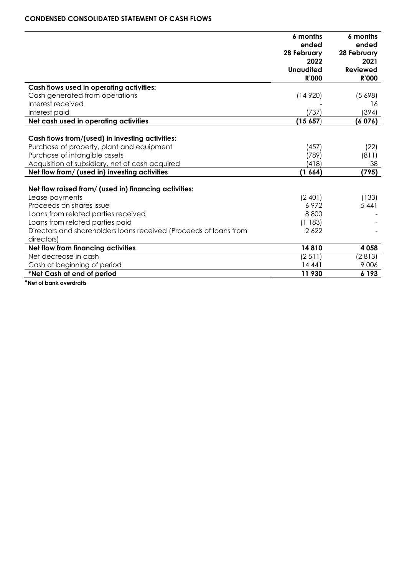### **CONDENSED CONSOLIDATED STATEMENT OF CASH FLOWS**

|                                                                   | 6 months<br>ended | 6 months<br>ended |
|-------------------------------------------------------------------|-------------------|-------------------|
|                                                                   | 28 February       | 28 February       |
|                                                                   | 2022              | 2021              |
|                                                                   | <b>Unaudited</b>  | <b>Reviewed</b>   |
|                                                                   | R'000             | <b>R'000</b>      |
| Cash flows used in operating activities:                          |                   |                   |
| Cash generated from operations                                    | (14920)           | (5698)            |
| Interest received                                                 |                   | 16                |
| Interest paid                                                     | (737)             | (394)             |
| Net cash used in operating activities                             | (15657)           | (6076)            |
|                                                                   |                   |                   |
| Cash flows from/(used) in investing activities:                   |                   |                   |
| Purchase of property, plant and equipment                         | (457)             | (22)              |
| Purchase of intangible assets                                     | (789)             | (811)             |
| Acquisition of subsidiary, net of cash acquired                   | (418)             | 38                |
| Net flow from/ (used in) investing activities                     | (1664)            | (795)             |
|                                                                   |                   |                   |
| Net flow raised from/ (used in) financing activities:             |                   |                   |
| Lease payments                                                    | (2 401)           | (133)             |
| Proceeds on shares issue                                          | 6972              | 5 4 4 1           |
| Loans from related parties received                               | 8800              |                   |
| Loans from related parties paid                                   | (1183)            |                   |
| Directors and shareholders loans received (Proceeds of loans from | 2622              |                   |
| directors)                                                        |                   |                   |
| Net flow from financing activities                                | 14810             | 4 0 5 8           |
| Net decrease in cash                                              | (2 511)           | (2813)            |
| Cash at beginning of period                                       | 14 441            | 9 0 0 6           |
| *Net Cash at end of period                                        | 11 930            | 6 1 9 3           |

**\*Net of bank overdrafts**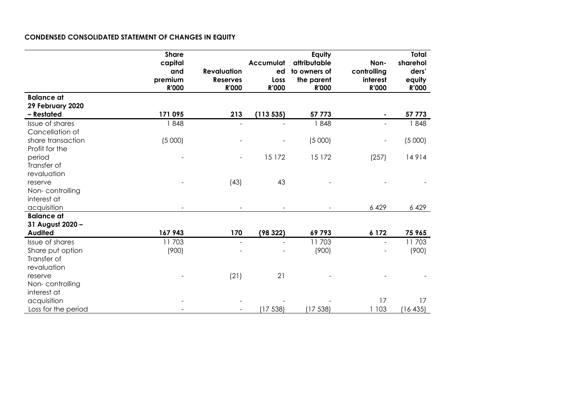# **CONDENSED CONSOLIDATED STATEMENT OF CHANGES IN EQUITY**

|                                                                   | <b>Share</b><br>capital<br>and<br>premium<br><b>R'000</b> | <b>Revaluation</b><br><b>Reserves</b><br><b>R'000</b> | Accumulat<br>ed<br>Loss<br><b>R'000</b> | Equity<br>attributable<br>to owners of<br>the parent<br><b>R'000</b> | Non-<br>controlling<br>interest<br><b>R'000</b> | <b>Total</b><br>sharehol<br>ders'<br>equity<br><b>R'000</b> |
|-------------------------------------------------------------------|-----------------------------------------------------------|-------------------------------------------------------|-----------------------------------------|----------------------------------------------------------------------|-------------------------------------------------|-------------------------------------------------------------|
| <b>Balance at</b><br>29 February 2020                             |                                                           |                                                       |                                         |                                                                      |                                                 |                                                             |
| - Restated                                                        | 171 095                                                   | 213                                                   | (113535)                                | 57 773                                                               | $\blacksquare$                                  | 57 773                                                      |
| Issue of shares<br>Cancellation of                                | 1848                                                      | $\blacksquare$                                        |                                         | 1848                                                                 | $\blacksquare$                                  | 1848                                                        |
| share transaction<br>Profit for the                               | (5000)                                                    |                                                       |                                         | (5000)                                                               | $\qquad \qquad -$                               | (5000)                                                      |
| period<br>Transfer of<br>revaluation                              |                                                           |                                                       | 15 172                                  | 15 172                                                               | (257)                                           | 14914                                                       |
| reserve<br>Non-controlling<br>interest at                         |                                                           | (43)                                                  | 43                                      |                                                                      |                                                 |                                                             |
| acquisition                                                       |                                                           |                                                       |                                         |                                                                      | 6 4 29                                          | 6 4 2 9                                                     |
| <b>Balance at</b><br>31 August 2020 -                             |                                                           |                                                       |                                         |                                                                      |                                                 |                                                             |
| <b>Audited</b>                                                    | 167 943                                                   | 170                                                   | (98322)                                 | 69793                                                                | 6 1 7 2                                         | 75 965                                                      |
| Issue of shares<br>Share put option<br>Transfer of<br>revaluation | 11703<br>(900)                                            |                                                       |                                         | 11703<br>(900)                                                       |                                                 | 11703<br>(900)                                              |
| reserve<br>Non-controlling<br>interest at                         |                                                           | (21)                                                  | 21                                      |                                                                      |                                                 |                                                             |
| acquisition                                                       |                                                           |                                                       |                                         |                                                                      | 17                                              | 17                                                          |
| Loss for the period                                               |                                                           |                                                       | (17538)                                 | (17538)                                                              | 1 1 0 3                                         | (16435)                                                     |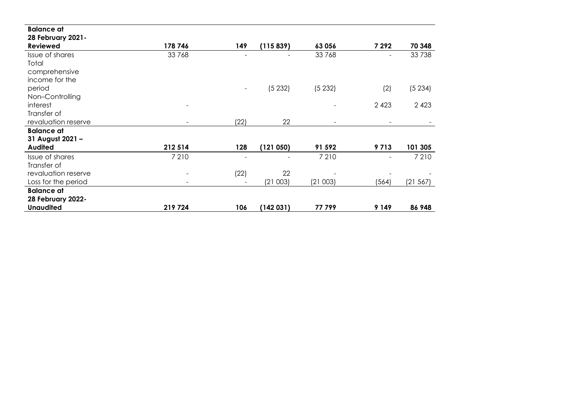| <b>Balance at</b>                     |                          |                          |                          |                          |                          |          |
|---------------------------------------|--------------------------|--------------------------|--------------------------|--------------------------|--------------------------|----------|
| 28 February 2021-<br><b>Reviewed</b>  | 178 746                  | 149                      | (115839)                 | 63056                    | 7 29 2                   | 70 348   |
| Issue of shares                       | 33768                    | $\overline{\phantom{a}}$ | $\overline{\phantom{0}}$ | 33768                    | $\overline{\phantom{a}}$ | 33 738   |
| Total                                 |                          |                          |                          |                          |                          |          |
| comprehensive                         |                          |                          |                          |                          |                          |          |
| income for the                        |                          |                          |                          |                          |                          |          |
| period                                |                          |                          | (5232)                   | (5232)                   | (2)                      | (5234)   |
| Non-Controlling                       |                          |                          |                          |                          |                          |          |
| interest                              |                          |                          |                          | $\overline{\phantom{0}}$ | 2 4 2 3                  | 2 4 2 3  |
| Transfer of                           |                          |                          |                          |                          |                          |          |
| revaluation reserve                   |                          | (22)                     | 22                       | $\sim$                   | $\overline{\phantom{a}}$ |          |
| <b>Balance at</b><br>31 August 2021 - |                          |                          |                          |                          |                          |          |
| <b>Audited</b>                        | 212 514                  | 128                      | (121050)                 | 91 592                   | 9713                     | 101 305  |
| Issue of shares                       | 7 2 1 0                  |                          |                          | 7 2 1 0                  | $\overline{\phantom{a}}$ | 7 2 1 0  |
| Transfer of                           |                          |                          |                          |                          |                          |          |
| revaluation reserve                   | $\overline{\phantom{0}}$ | (22)                     | 22                       |                          |                          |          |
| Loss for the period                   |                          |                          | (21003)                  | (21003)                  | (564)                    | (21 567) |
| <b>Balance at</b>                     |                          |                          |                          |                          |                          |          |
| <b>28 February 2022-</b>              |                          |                          |                          |                          |                          |          |
| <b>Unaudited</b>                      | 219724                   | 106                      | (142031)                 | 77799                    | 9 1 4 9                  | 86 948   |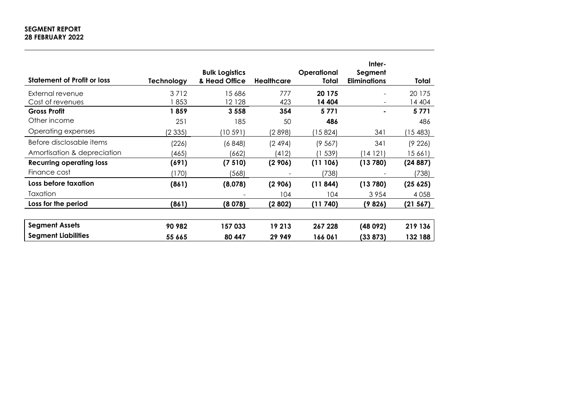# **SEGMENT REPORT 28 FEBRUARY 2022**

| <b>Statement of Profit or loss</b> | Technology | <b>Bulk Logistics</b><br>& Head Office | <b>Healthcare</b> | Operational<br>Total | Inter-<br>Segment<br><b>Eliminations</b> | Total    |
|------------------------------------|------------|----------------------------------------|-------------------|----------------------|------------------------------------------|----------|
| External revenue                   | 3712       | 15 686                                 | 777               | 20 175               | $\sim$                                   | 20 175   |
| Cost of revenues                   | 853        | 12 1 28                                | 423               | 14 404               | $\overline{\phantom{a}}$                 | 14 404   |
| <b>Gross Profit</b>                | 1859       | 3 5 5 8                                | 354               | 5771                 |                                          | 5771     |
| Other income                       | 251        | 185                                    | 50                | 486                  |                                          | 486      |
| Operating expenses                 | (2335)     | (10 591)                               | (2898)            | (15824)              | 341                                      | 15483    |
| Before disclosable items           | (226)      | (6848)                                 | (2494)            | (9567)               | 341                                      | (9226)   |
| Amortisation & depreciation        | (465)      | (662)                                  | (412)             | 539)                 | (14 121                                  | 15 661)  |
| <b>Recurring operating loss</b>    | (691)      | (7510)                                 | (2906)            | (11106)              | (13780)                                  | (24887)  |
| Finance cost                       | (170)      | (568)                                  |                   | (738)                |                                          | (738)    |
| Loss before taxation               | (861)      | (8,078)                                | (2906)            | (11844)              | (13780)                                  | (25625)  |
| Taxation                           |            |                                        | 104               | 104                  | 3954                                     | 4 0 5 8  |
| Loss for the period                | (861)      | (8078)                                 | (2802)            | (11740)              | (9826)                                   | (21 567) |
| <b>Segment Assets</b>              | 90 982     | 157033                                 | 19 213            | 267 228              | (48092)                                  | 219 136  |
| <b>Segment Liabilities</b>         | 55 665     | 80 447                                 | 29 949            | 166 061              | (33 873)                                 | 132 188  |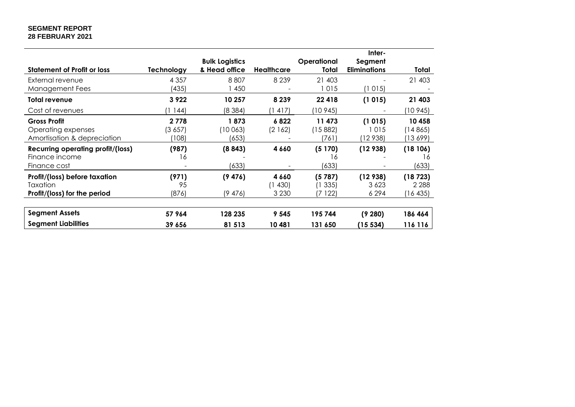### **SEGMENT REPORT 28 FEBRUARY 2021**

|                                          |            |                       |            |             | Inter-              |          |
|------------------------------------------|------------|-----------------------|------------|-------------|---------------------|----------|
|                                          |            | <b>Bulk Logistics</b> |            | Operational | Segment             |          |
| <b>Statement of Profit or loss</b>       | Technology | & Head office         | Healthcare | Total       | <b>Eliminations</b> | Total    |
| External revenue                         | 4 3 5 7    | 8807                  | 8 2 3 9    | 21 403      |                     | 21 403   |
| Management Fees                          | (435)      | 450                   |            | 1015        | (1015)              |          |
| <b>Total revenue</b>                     | 3 9 2 2    | 10 257                | 8 2 3 9    | 22 4 18     | (1015)              | 21 403   |
| Cost of revenues                         | 1144       | (8384)                | (1 417)    | (10 945)    |                     | (10 945) |
| <b>Gross Profit</b>                      | 2 7 7 8    | 1873                  | 6822       | 11 473      | (1015)              | 10 458   |
| Operating expenses                       | (3657)     | (10 063)              | (2 1 6 2 ) | (15 882)    | 1015                | (14865)  |
| Amortisation & depreciation              | (108)      | (653)                 |            | (761)       | (12 938)            | (13 699) |
| <b>Recurring operating profit/(loss)</b> | (987)      | (8843)                | 4 6 6 0    | (5170)      | (12938)             | (18106)  |
| Finance income                           | 16         |                       |            | 16          |                     | 16       |
| Finance cost                             |            | (633)                 |            | (633)       |                     | (633)    |
| Profit/(loss) before taxation            | (971)      | (9476)                | 4 6 6 0    | (5787)      | (12938)             | (18723)  |
| Taxation                                 | 95         |                       | (1430)     | 335)        | 3 6 2 3             | 2 2 8 8  |
| Profit/(loss) for the period             | (876)      | (9476)                | 3 2 3 0    | 7 122)      | 6 2 9 4             | (16435)  |
|                                          |            |                       |            |             |                     |          |
| <b>Segment Assets</b>                    | 57 964     | 128 235               | 9 5 4 5    | 195 744     | (9280)              | 186 464  |
| <b>Segment Liabilities</b>               | 39 656     | 81 513                | 10481      | 131 650     | (15 534)            | 116 116  |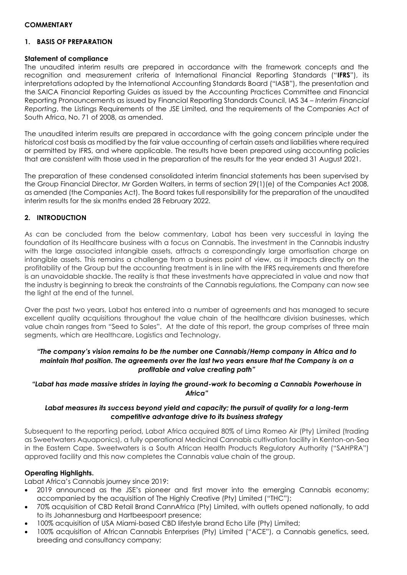### **COMMENTARY**

# **1. BASIS OF PREPARATION**

### **Statement of compliance**

The unaudited interim results are prepared in accordance with the framework concepts and the recognition and measurement criteria of International Financial Reporting Standards ("**IFRS**"), its interpretations adopted by the International Accounting Standards Board ("IASB"), the presentation and the SAICA Financial Reporting Guides as issued by the Accounting Practices Committee and Financial Reporting Pronouncements as issued by Financial Reporting Standards Council, IAS 34 – *Interim Financial Reporting*, the Listings Requirements of the JSE Limited, and the requirements of the Companies Act of South Africa, No. 71 of 2008, as amended.

The unaudited interim results are prepared in accordance with the going concern principle under the historical cost basis as modified by the fair value accounting of certain assets and liabilities where required or permitted by IFRS, and where applicable. The results have been prepared using accounting policies that are consistent with those used in the preparation of the results for the year ended 31 August 2021.

The preparation of these condensed consolidated interim financial statements has been supervised by the Group Financial Director, Mr Gorden Walters, in terms of section 29(1)(e) of the Companies Act 2008, as amended (the Companies Act). The Board takes full responsibility for the preparation of the unaudited interim results for the six months ended 28 February 2022.

### **2. INTRODUCTION**

As can be concluded from the below commentary, Labat has been very successful in laying the foundation of its Healthcare business with a focus on Cannabis. The investment in the Cannabis industry with the large associated intangible assets, attracts a correspondingly large amortisation charge on intangible assets. This remains a challenge from a business point of view, as it impacts directly on the profitability of the Group but the accounting treatment is in line with the IFRS requirements and therefore is an unavoidable shackle. The reality is that these investments have appreciated in value and now that the industry is beginning to break the constraints of the Cannabis regulations, the Company can now see the light at the end of the tunnel.

Over the past two years, Labat has entered into a number of agreements and has managed to secure excellent quality acquisitions throughout the value chain of the healthcare division businesses, which value chain ranges from "Seed to Sales". At the date of this report, the group comprises of three main segments, which are Healthcare, Logistics and Technology.

# *"The company's vision remains to be the number one Cannabis/Hemp company in Africa and to maintain that position. The agreements over the last two years ensure that the Company is on a profitable and value creating path"*

# *"Labat has made massive strides in laying the ground-work to becoming a Cannabis Powerhouse in Africa"*

### *Labat measures its success beyond yield and capacity; the pursuit of quality for a long-term competitive advantage drive to its business strategy*

Subsequent to the reporting period, Labat Africa acquired 80% of Lima Romeo Air (Pty) Limited (trading as Sweetwaters Aquaponics), a fully operational Medicinal Cannabis cultivation facility in Kenton-on-Sea in the Eastern Cape. Sweetwaters is a South African Health Products Regulatory Authority ("SAHPRA") approved facility and this now completes the Cannabis value chain of the group.

# **Operating Highlights.**

Labat Africa's Cannabis journey since 2019:

- 2019 announced as the JSE's pioneer and first mover into the emerging Cannabis economy; accompanied by the acquisition of The Highly Creative (Pty) Limited ("THC");
- 70% acquisition of CBD Retail Brand CannAfrica (Pty) Limited, with outlets opened nationally, to add to its Johannesburg and Hartbeespoort presence;
- 100% acquisition of USA Miami-based CBD lifestyle brand Echo Life (Pty) Limited;
- 100% acquisition of African Cannabis Enterprises (Pty) Limited ("ACE"), a Cannabis genetics, seed, breeding and consultancy company;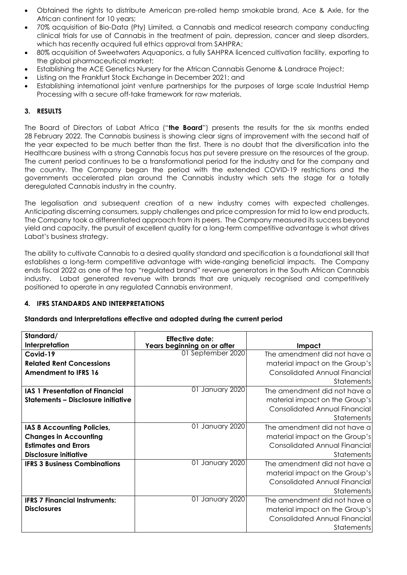- Obtained the rights to distribute American pre-rolled hemp smokable brand, Ace & Axle, for the African continent for 10 years;
- 70% acquisition of Bio-Data (Pty) Limited, a Cannabis and medical research company conducting clinical trials for use of Cannabis in the treatment of pain, depression, cancer and sleep disorders, which has recently acquired full ethics approval from SAHPRA;
- 80% acquisition of Sweetwaters Aquaponics, a fully SAHPRA licenced cultivation facility, exporting to the global pharmaceutical market;
- Establishing the ACE Genetics Nursery for the African Cannabis Genome & Landrace Project;
- Listing on the Frankfurt Stock Exchange in December 2021; and
- Establishing international joint venture partnerships for the purposes of large scale Industrial Hemp Processing with a secure off-take framework for raw materials.

# **3. RESULTS**

The Board of Directors of Labat Africa ("**the Board**") presents the results for the six months ended 28 February 2022. The Cannabis business is showing clear signs of improvement with the second half of the year expected to be much better than the first. There is no doubt that the diversification into the Healthcare business with a strong Cannabis focus has put severe pressure on the resources of the group. The current period continues to be a transformational period for the industry and for the company and the country. The Company began the period with the extended COVID-19 restrictions and the governments accelerated plan around the Cannabis industry which sets the stage for a totally deregulated Cannabis industry in the country.

The legalisation and subsequent creation of a new industry comes with expected challenges. Anticipating discerning consumers, supply challenges and price compression for mid to low end products, The Company took a differentiated approach from its peers. The Company measured its success beyond yield and capacity, the pursuit of excellent quality for a long-term competitive advantage is what drives Labat's business strategy.

The ability to cultivate Cannabis to a desired quality standard and specification is a foundational skill that establishes a long-term competitive advantage with wide-ranging beneficial impacts. The Company ends fiscal 2022 as one of the top "regulated brand" revenue generators in the South African Cannabis industry. Labat generated revenue with brands that are uniquely recognised and competitively positioned to operate in any regulated Cannabis environment.

# **4. IFRS STANDARDS AND INTERPRETATIONS**

### **Standards and Interpretations effective and adopted during the current period**

| Standard/                                 | <b>Effective date:</b>      |                                      |
|-------------------------------------------|-----------------------------|--------------------------------------|
| Interpretation                            | Years beginning on or after | Impact                               |
| Covid-19                                  | 01 September 2020           | The amendment did not have a         |
| <b>Related Rent Concessions</b>           |                             | material impact on the Group's       |
| <b>Amendment to IFRS 16</b>               |                             | <b>Consolidated Annual Financial</b> |
|                                           |                             | <b>Statements</b>                    |
| <b>IAS 1 Presentation of Financial</b>    | 01 January 2020             | The amendment did not have a         |
| <b>Statements - Disclosure initiative</b> |                             | material impact on the Group's       |
|                                           |                             | Consolidated Annual Financial        |
|                                           |                             | <b>Statements</b>                    |
| IAS 8 Accounting Policies,                | 01 January 2020             | The amendment did not have a         |
| <b>Changes in Accounting</b>              |                             | material impact on the Group's       |
| <b>Estimates and Errors</b>               |                             | <b>Consolidated Annual Financial</b> |
| <b>Disclosure initiative</b>              |                             | Statements                           |
| <b>IFRS 3 Business Combinations</b>       | 01 January 2020             | The amendment did not have a         |
|                                           |                             | material impact on the Group's       |
|                                           |                             | <b>Consolidated Annual Financial</b> |
|                                           |                             | Statements                           |
| <b>IFRS 7 Financial Instruments:</b>      | 01 January 2020             | The amendment did not have a         |
| <b>Disclosures</b>                        |                             | material impact on the Group's       |
|                                           |                             | Consolidated Annual Financial        |
|                                           |                             | Statements                           |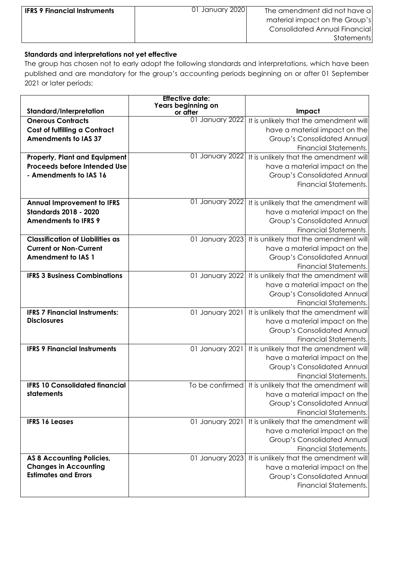| <b>IFRS 9 Financial Instruments</b> | 01 January 2020 | The amendment did not have a<br>material impact on the Group's |
|-------------------------------------|-----------------|----------------------------------------------------------------|
|                                     |                 | <b>Consolidated Annual Financial</b><br>Statements             |

# **Standards and interpretations not yet effective**

The group has chosen not to early adopt the following standards and interpretations, which have been published and are mandatory for the group's accounting periods beginning on or after 01 September 2021 or later periods:

|                                                             | <b>Effective date:</b><br>Years beginning on |                                                        |
|-------------------------------------------------------------|----------------------------------------------|--------------------------------------------------------|
| Standard/Interpretation                                     | or after                                     | Impact                                                 |
| <b>Onerous Contracts</b>                                    | 01 January 2022                              | It is unlikely that the amendment will                 |
| <b>Cost of fulfilling a Contract</b>                        |                                              | have a material impact on the                          |
| <b>Amendments to IAS 37</b>                                 |                                              | <b>Group's Consolidated Annual</b>                     |
|                                                             |                                              | <b>Financial Statements.</b>                           |
| <b>Property, Plant and Equipment</b>                        | 01 January 2022                              | It is unlikely that the amendment will                 |
| Proceeds before Intended Use                                |                                              | have a material impact on the                          |
| - Amendments to IAS 16                                      |                                              | <b>Group's Consolidated Annual</b>                     |
|                                                             |                                              | <b>Financial Statements.</b>                           |
|                                                             |                                              |                                                        |
| <b>Annual Improvement to IFRS</b>                           | 01 January 2022                              | It is unlikely that the amendment will                 |
| <b>Standards 2018 - 2020</b>                                |                                              | have a material impact on the                          |
| <b>Amendments to IFRS 9</b>                                 |                                              | <b>Group's Consolidated Annual</b>                     |
|                                                             |                                              | <b>Financial Statements.</b>                           |
| <b>Classification of Liabilities as</b>                     | 01 January 2023                              | It is unlikely that the amendment will                 |
| <b>Current or Non-Current</b>                               |                                              | have a material impact on the                          |
| <b>Amendment to IAS 1</b>                                   |                                              | <b>Group's Consolidated Annual</b>                     |
|                                                             |                                              | <b>Financial Statements.</b>                           |
| <b>IFRS 3 Business Combinations</b>                         | 01 January 2022                              | It is unlikely that the amendment will                 |
|                                                             |                                              | have a material impact on the                          |
|                                                             |                                              | <b>Group's Consolidated Annual</b>                     |
|                                                             |                                              | <b>Financial Statements.</b>                           |
| <b>IFRS 7 Financial Instruments:</b>                        | 01 January 2021                              | It is unlikely that the amendment will                 |
| <b>Disclosures</b>                                          |                                              | have a material impact on the                          |
|                                                             |                                              | <b>Group's Consolidated Annual</b>                     |
|                                                             |                                              | <b>Financial Statements.</b>                           |
| <b>IFRS 9 Financial Instruments</b>                         | 01 January 2021                              | It is unlikely that the amendment will                 |
|                                                             |                                              | have a material impact on the                          |
|                                                             |                                              | <b>Group's Consolidated Annual</b>                     |
|                                                             |                                              | <b>Financial Statements.</b>                           |
| <b>IFRS 10 Consolidated financial</b>                       |                                              | To be confirmed It is unlikely that the amendment will |
| statements                                                  |                                              | have a material impact on the                          |
|                                                             |                                              | Group's Consolidated Annual                            |
|                                                             |                                              | <b>Financial Statements.</b>                           |
| <b>IFRS 16 Leases</b>                                       | 01 January 2021                              | It is unlikely that the amendment will                 |
|                                                             |                                              | have a material impact on the                          |
|                                                             |                                              | <b>Group's Consolidated Annual</b>                     |
|                                                             |                                              | <b>Financial Statements.</b>                           |
| <b>AS 8 Accounting Policies,</b>                            | 01 January 2023                              | It is unlikely that the amendment will                 |
| <b>Changes in Accounting</b><br><b>Estimates and Errors</b> |                                              | have a material impact on the                          |
|                                                             |                                              | <b>Group's Consolidated Annual</b>                     |
|                                                             |                                              | <b>Financial Statements.</b>                           |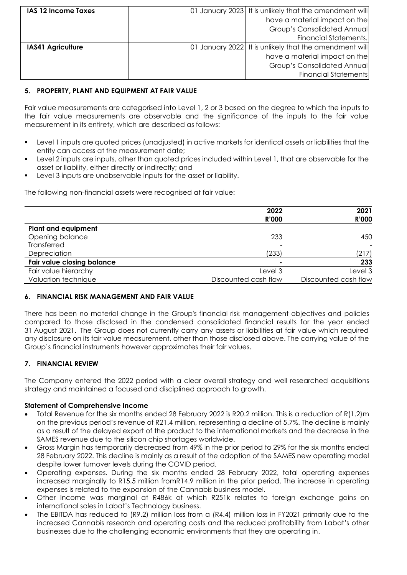| <b>IAS 12 Income Taxes</b> | 01 January 2023 It is unlikely that the amendment will |
|----------------------------|--------------------------------------------------------|
|                            | have a material impact on the                          |
|                            | <b>Group's Consolidated Annual</b>                     |
|                            | <b>Financial Statements.</b>                           |
| <b>IAS41 Agriculture</b>   | 01 January 2022 It is unlikely that the amendment will |
|                            | have a material impact on the                          |
|                            | <b>Group's Consolidated Annual</b>                     |
|                            | <b>Financial Statements</b>                            |

# **5. PROPERTY, PLANT AND EQUIPMENT AT FAIR VALUE**

Fair value measurements are categorised into Level 1, 2 or 3 based on the degree to which the inputs to the fair value measurements are observable and the significance of the inputs to the fair value measurement in its entirety, which are described as follows:

- Level 1 inputs are quoted prices (unadjusted) in active markets for identical assets or liabilities that the entity can access at the measurement date;
- Level 2 inputs are inputs, other than quoted prices included within Level 1, that are observable for the asset or liability, either directly or indirectly; and
- Level 3 inputs are unobservable inputs for the asset or liability.

The following non-financial assets were recognised at fair value:

|                                   | 2022<br><b>R'000</b> | 2021<br><b>R'000</b> |
|-----------------------------------|----------------------|----------------------|
| <b>Plant and equipment</b>        |                      |                      |
| Opening balance                   | 233                  | 450                  |
| Transferred                       |                      |                      |
| Depreciation                      | (233)                | (217)                |
| <b>Fair value closing balance</b> | ۰                    | 233                  |
| Fair value hierarchy              | Level 3              | Level 3              |
| Valuation technique               | Discounted cash flow | Discounted cash flow |

# **6. FINANCIAL RISK MANAGEMENT AND FAIR VALUE**

There has been no material change in the Group's financial risk management objectives and policies compared to those disclosed in the condensed consolidated financial results for the year ended 31 August 2021. The Group does not currently carry any assets or liabilities at fair value which required any disclosure on its fair value measurement, other than those disclosed above. The carrying value of the Group's financial instruments however approximates their fair values.

# **7. FINANCIAL REVIEW**

The Company entered the 2022 period with a clear overall strategy and well researched acquisitions strategy and maintained a focused and disciplined approach to growth.

### **Statement of Comprehensive Income**

- Total Revenue for the six months ended 28 February 2022 is R20.2 million. This is a reduction of R(1.2)m on the previous period's revenue of R21.4 million, representing a decline of 5.7%. The decline is mainly as a result of the delayed export of the product to the international markets and the decrease in the SAMES revenue due to the silicon chip shortages worldwide.
- Gross Margin has temporarily decreased from 49% in the prior period to 29% for the six months ended 28 February 2022. This decline is mainly as a result of the adoption of the SAMES new operating model despite lower turnover levels during the COVID period.
- Operating expenses. During the six months ended 28 February 2022, total operating expenses increased marginally to R15.5 million fromR14.9 million in the prior period. The increase in operating expenses is related to the expansion of the Cannabis business model.
- Other Income was marginal at R486k of which R251k relates to foreign exchange gains on international sales in Labat's Technology business.
- The EBITDA has reduced to (R9.2) million loss from a (R4.4) million loss in FY2021 primarily due to the increased Cannabis research and operating costs and the reduced profitability from Labat's other businesses due to the challenging economic environments that they are operating in.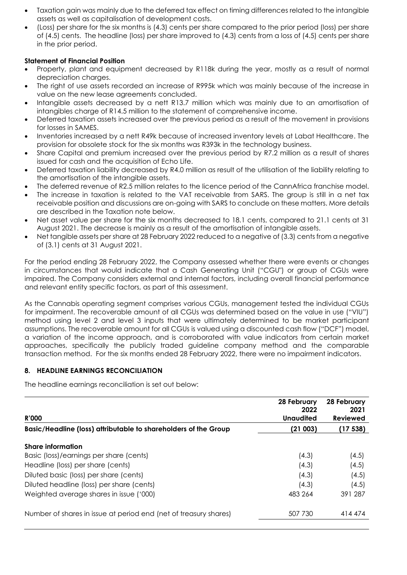- Taxation gain was mainly due to the deferred tax effect on timing differences related to the intangible assets as well as capitalisation of development costs.
- (Loss) per share for the six months is (4.3) cents per share compared to the prior period (loss) per share of (4.5) cents. The headline (loss) per share improved to (4.3) cents from a loss of (4.5) cents per share in the prior period.

# **Statement of Financial Position**

- Property, plant and equipment decreased by R118k during the year, mostly as a result of normal depreciation charges.
- The right of use assets recorded an increase of R995k which was mainly because of the increase in value on the new lease agreements concluded.
- Intangible assets decreased by a nett R13.7 million which was mainly due to an amortisation of intangibles charge of R14.5 million to the statement of comprehensive income.
- Deferred taxation assets increased over the previous period as a result of the movement in provisions for losses in SAMES.
- Inventories increased by a nett R49k because of increased inventory levels at Labat Healthcare. The provision for obsolete stock for the six months was R393k in the technology business.
- Share Capital and premium increased over the previous period by R7.2 million as a result of shares issued for cash and the acquisition of Echo Life.
- Deferred taxation liability decreased by R4.0 million as result of the utilisation of the liability relating to the amortisation of the intangible assets.
- The deferred revenue of R2.5 million relates to the licence period of the CannAfrica franchise model.
- The increase in taxation is related to the VAT receivable from SARS. The group is still in a net tax receivable position and discussions are on-going with SARS to conclude on these matters. More details are described in the Taxation note below.
- Net asset value per share for the six months decreased to 18.1 cents, compared to 21.1 cents at 31 August 2021. The decrease is mainly as a result of the amortisation of intangible assets.
- Net tangible assets per share at 28 February 2022 reduced to a negative of (3.3) cents from a negative of (3.1) cents at 31 August 2021.

For the period ending 28 February 2022, the Company assessed whether there were events or changes in circumstances that would indicate that a Cash Generating Unit ("CGU") or group of CGUs were impaired. The Company considers external and internal factors, including overall financial performance and relevant entity specific factors, as part of this assessment.

As the Cannabis operating segment comprises various CGUs, management tested the individual CGUs for impairment. The recoverable amount of all CGUs was determined based on the value in use ("VIU") method using level 2 and level 3 inputs that were ultimately determined to be market participant assumptions. The recoverable amount for all CGUs is valued using a discounted cash flow ("DCF") model, a variation of the income approach, and is corroborated with value indicators from certain market approaches, specifically the publicly traded guideline company method and the comparable transaction method. For the six months ended 28 February 2022, there were no impairment indicators.

# **8. HEADLINE EARNINGS RECONCILIATION**

The headline earnings reconciliation is set out below:

| <b>R'000</b>                                                     | 28 February<br>2022<br><b>Unaudited</b> | 28 February<br>2021<br><b>Reviewed</b> |
|------------------------------------------------------------------|-----------------------------------------|----------------------------------------|
| Basic/Headline (loss) attributable to shareholders of the Group  | (21 003)                                | (17 538)                               |
| <b>Share information</b>                                         |                                         |                                        |
| Basic (loss)/earnings per share (cents)                          | (4.3)                                   | (4.5)                                  |
| Headline (loss) per share (cents)                                | (4.3)                                   | (4.5)                                  |
| Diluted basic (loss) per share (cents)                           | (4.3)                                   | (4.5)                                  |
| Diluted headline (loss) per share (cents)                        | (4.3)                                   | (4.5)                                  |
| Weighted average shares in issue ('000)                          | 483 264                                 | 391 287                                |
| Number of shares in issue at period end (net of treasury shares) | 507 730                                 | 414 474                                |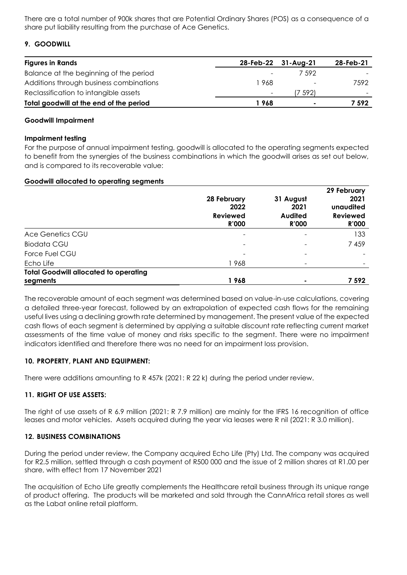There are a total number of 900k shares that are Potential Ordinary Shares (POS) as a consequence of a share put liability resulting from the purchase of Ace Genetics.

# **9. GOODWILL**

| <b>Figures in Rands</b>                 |                          | 28-Feb-22 31-Aug-21      | 28-Feb-21 |
|-----------------------------------------|--------------------------|--------------------------|-----------|
| Balance at the beginning of the period  | $\equiv$                 | 7.592                    |           |
| Additions through business combinations | 968                      | $\overline{\phantom{a}}$ | 7592      |
| Reclassification to intangible assets   | $\overline{\phantom{a}}$ | 7 592)                   |           |
| Total goodwill at the end of the period | l 968                    | $\blacksquare$           | 7 592     |

### **Goodwill Impairment**

### **Impairment testing**

For the purpose of annual impairment testing, goodwill is allocated to the operating segments expected to benefit from the synergies of the business combinations in which the goodwill arises as set out below, and is compared to its recoverable value:

### **Goodwill allocated to operating segments**

|                                                          | 28 February<br>2022<br><b>Reviewed</b><br><b>R'000</b> | 31 August<br>2021<br><b>Audited</b><br><b>R'000</b> | 29 February<br>2021<br>unaudited<br><b>Reviewed</b><br><b>R'000</b> |
|----------------------------------------------------------|--------------------------------------------------------|-----------------------------------------------------|---------------------------------------------------------------------|
| Ace Genetics CGU                                         |                                                        |                                                     | 133                                                                 |
| <b>Biodata CGU</b>                                       |                                                        |                                                     | 7459                                                                |
| Force Fuel CGU                                           |                                                        |                                                     |                                                                     |
| Echo Life                                                | 1 968                                                  |                                                     |                                                                     |
| <b>Total Goodwill allocated to operating</b><br>segments | 1968                                                   |                                                     | 7 592                                                               |

The recoverable amount of each segment was determined based on value-in-use calculations, covering a detailed three-year forecast, followed by an extrapolation of expected cash flows for the remaining useful lives using a declining growth rate determined by management. The present value of the expected cash flows of each segment is determined by applying a suitable discount rate reflecting current market assessments of the time value of money and risks specific to the segment. There were no impairment indicators identified and therefore there was no need for an impairment loss provision.

# **10. PROPERTY, PLANT AND EQUIPMENT:**

There were additions amounting to R 457k (2021: R 22 k) during the period under review.

# **11. RIGHT OF USE ASSETS:**

The right of use assets of R 6.9 million (2021: R 7.9 million) are mainly for the IFRS 16 recognition of office leases and motor vehicles. Assets acquired during the year via leases were R nil (2021: R 3.0 million).

### **12. BUSINESS COMBINATIONS**

During the period under review, the Company acquired Echo Life (Pty) Ltd. The company was acquired for R2.5 million, settled through a cash payment of R500 000 and the issue of 2 million shares at R1.00 per share, with effect from 17 November 2021

The acquisition of Echo Life greatly complements the Healthcare retail business through its unique range of product offering. The products will be marketed and sold through the CannAfrica retail stores as well as the Labat online retail platform.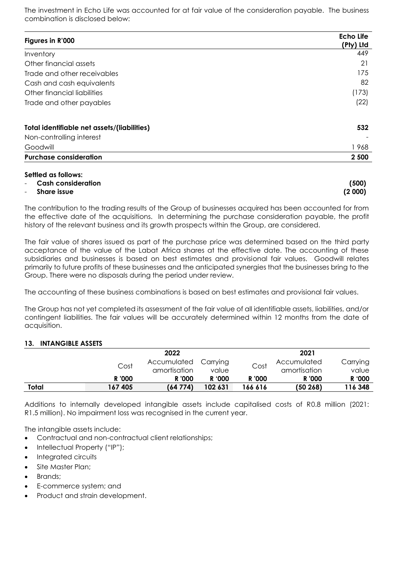The investment in Echo Life was accounted for at fair value of the consideration payable. The business combination is disclosed below:

| Figures in R'000                            | <b>Echo Life</b><br>(Pty) Ltd |
|---------------------------------------------|-------------------------------|
| Inventory                                   | 449                           |
| Other financial assets                      | 21                            |
| Trade and other receivables                 | 175                           |
| Cash and cash equivalents                   | 82                            |
| Other financial liabilities                 | (173)                         |
| Trade and other payables                    | (22)                          |
| Total identifiable net assets/(liabilities) | 532                           |
| Non-controlling interest                    |                               |
| Goodwill                                    | 1968                          |
| <b>Purchase consideration</b>               | 2 500                         |

### **Settled as follows:**

| - Cash consideration | (500)  |
|----------------------|--------|
| - Share issue        | (2000) |

The contribution to the trading results of the Group of businesses acquired has been accounted for from the effective date of the acquisitions. In determining the purchase consideration payable, the profit history of the relevant business and its growth prospects within the Group, are considered.

The fair value of shares issued as part of the purchase price was determined based on the third party acceptance of the value of the Labat Africa shares at the effective date. The accounting of these subsidiaries and businesses is based on best estimates and provisional fair values. Goodwill relates primarily to future profits of these businesses and the anticipated synergies that the businesses bring to the Group. There were no disposals during the period under review.

The accounting of these business combinations is based on best estimates and provisional fair values.

The Group has not yet completed its assessment of the fair value of all identifiable assets, liabilities, and/or contingent liabilities. The fair values will be accurately determined within 12 months from the date of acquisition.

# **13. INTANGIBLE ASSETS**

|       |        | 2022                          |                        |         | 2021                   |                 |
|-------|--------|-------------------------------|------------------------|---------|------------------------|-----------------|
|       | Cost   | Accumulated                   | Carrying               | Cost    | Accumulated            | Carrying        |
|       | R '000 | amortisation<br><b>R</b> '000 | value<br><b>R</b> '000 | R '000  | amortisation<br>R '000 | value<br>R '000 |
| Total | 167405 | (64774)                       | 102 631                | 166 616 | (50 268)               | 116 348         |

Additions to internally developed intangible assets include capitalised costs of R0.8 million (2021: R1.5 million). No impairment loss was recognised in the current year.

The intangible assets include:

- Contractual and non-contractual client relationships;
- Intellectual Property ("IP");
- Integrated circuits
- Site Master Plan;
- Brands;
- E-commerce system; and
- Product and strain development.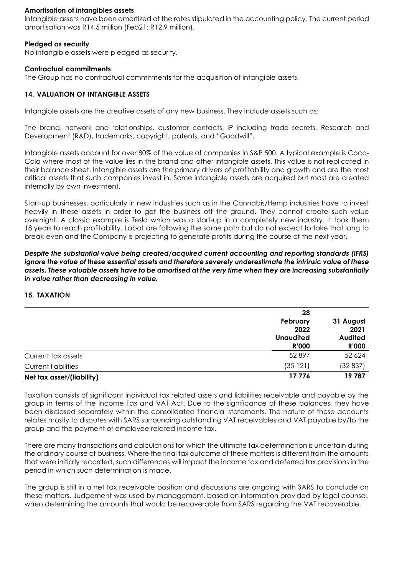### **Amortisation of intangibles assets**

Intangible assets have been amortized at the rates stipulated in the accounting policy. The current period amortisation was R14.5 million (Feb21: R12.9 million).

### **Pledged as security**

No intangible assets were pledged as security.

### **Contractual commitments**

The Group has no contractual commitments for the acquisition of intangible assets.

### **14. VALUATION OF INTANGIBLE ASSETS**

Intangible assets are the creative assets of any new business. They include assets such as:

The brand, network and relationships, customer contacts, IP including trade secrets, Research and Development (R&D), trademarks, copyright, patents, and "Goodwill".

Intangible assets account for over 80% of the value of companies in S&P 500. A typical example is Coca-Cola where most of the value lies in the brand and other intangible assets. This value is not replicated in their balance sheet. Intangible assets are the primary drivers of profitability and growth and are the most critical assets that such companies invest in. Some intangible assets are acquired but most are created internally by own investment.

Start-up businesses, particularly in new industries such as in the Cannabis/Hemp industries have to invest heavily in these assets in order to get the business off the ground. They cannot create such value overnight. A classic example is Tesla which was a start-up in a completely new industry. It took them 18 years to reach profitability. Labat are following the same path but do not expect to take that long to break-even and the Company is projecting to generate profits during the course of the next year.

*Despite the substantial value being created/acquired current accounting and reporting standards (IFRS) ignore the value of these essential assets and therefore severely underestimate the intrinsic value of these assets. These valuable assets have to be amortised at the very time when they are increasing substantially in value rather than decreasing in value.* 

### **15. TAXATION**

|                            | 28<br>February<br>2022<br><b>Unaudited</b><br><b>R'000</b> | 31 August<br>2021<br><b>Audited</b><br><b>R'000</b> |
|----------------------------|------------------------------------------------------------|-----------------------------------------------------|
| Current tax assets         | 52 897                                                     | 52 624                                              |
| <b>Current liabilities</b> | (35121)                                                    | (32837)                                             |
| Net tax asset/(liability)  | 17776                                                      | 19787                                               |

Taxation consists of significant individual tax related assets and liabilities receivable and payable by the group in terms of the Income Tax and VAT Act. Due to the significance of these balances, they have been disclosed separately within the consolidated financial statements. The nature of these accounts relates mostly to disputes with SARS surrounding outstanding VAT receivables and VAT payable by/to the group and the payment of employee related income tax.

There are many transactions and calculations for which the ultimate tax determination is uncertain during the ordinary course of business. Where the final tax outcome of these matters is different from the amounts that were initially recorded, such differences will impact the income tax and deferred tax provisions in the period in which such determination is made.

The group is still in a net tax receivable position and discussions are ongoing with SARS to conclude on these matters. Judgement was used by management, based on information provided by legal counsel, when determining the amounts that would be recoverable from SARS regarding the VAT recoverable.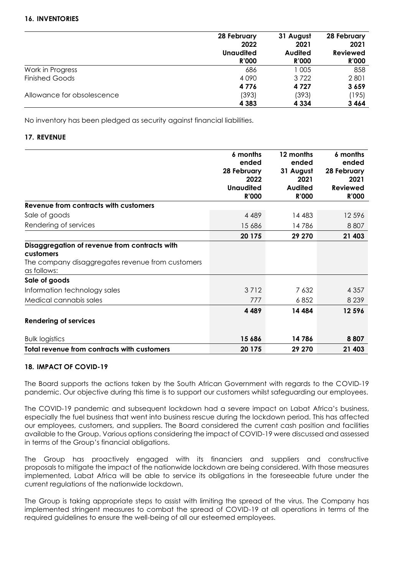# **16. INVENTORIES**

|                            | 28 February      | 31 August      | 28 February     |
|----------------------------|------------------|----------------|-----------------|
|                            | 2022             | 2021           | 2021            |
|                            | <b>Unaudited</b> | <b>Audited</b> | <b>Reviewed</b> |
|                            | <b>R'000</b>     | <b>R'000</b>   | <b>R'000</b>    |
| Work in Progress           | 686              | 1 005          | 858             |
| <b>Finished Goods</b>      | 4090             | 3722           | 2801            |
|                            | 4776             | 4 7 2 7        | 3659            |
| Allowance for obsolescence | (393)            | (393)          | (195)           |
|                            | 4 3 8 3          | 4 3 3 4        | 3464            |

No inventory has been pledged as security against financial liabilities.

### **17. REVENUE**

|                                                    | 6 months            | 12 months         | 6 months            |
|----------------------------------------------------|---------------------|-------------------|---------------------|
|                                                    | ended               | ended             | ended               |
|                                                    | 28 February<br>2022 | 31 August<br>2021 | 28 February<br>2021 |
|                                                    | <b>Unaudited</b>    | <b>Audited</b>    | <b>Reviewed</b>     |
|                                                    | <b>R'000</b>        | <b>R'000</b>      | <b>R'000</b>        |
| Revenue from contracts with customers              |                     |                   |                     |
| Sale of goods                                      | 4 4 8 9             | 14 483            | 12 5 9 6            |
| Rendering of services                              | 15 686              | 14786             | 8807                |
|                                                    | 20 175              | 29 270            | 21 403              |
| Disaggregation of revenue from contracts with      |                     |                   |                     |
| customers                                          |                     |                   |                     |
| The company disaggregates revenue from customers   |                     |                   |                     |
| as follows:                                        |                     |                   |                     |
| Sale of goods                                      |                     |                   |                     |
| Information technology sales                       | 3712                | 7 632             | 4 3 5 7             |
| Medical cannabis sales                             | 777                 | 6852              | 8 2 3 9             |
|                                                    | 4489                | 14 4 84           | 12 596              |
| <b>Rendering of services</b>                       |                     |                   |                     |
| <b>Bulk logistics</b>                              | 15 686              | 14786             | 8807                |
| <b>Total revenue from contracts with customers</b> | 20 175              | 29 270            | 21 403              |

### **18. IMPACT OF COVID-19**

The Board supports the actions taken by the South African Government with regards to the COVID-19 pandemic. Our objective during this time is to support our customers whilst safeguarding our employees.

The COVID-19 pandemic and subsequent lockdown had a severe impact on Labat Africa's business, especially the fuel business that went into business rescue during the lockdown period. This has affected our employees, customers, and suppliers. The Board considered the current cash position and facilities available to the Group. Various options considering the impact of COVID-19 were discussed and assessed in terms of the Group's financial obligations.

The Group has proactively engaged with its financiers and suppliers and constructive proposals to mitigate the impact of the nationwide lockdown are being considered. With those measures implemented, Labat Africa will be able to service its obligations in the foreseeable future under the current regulations of the nationwide lockdown.

The Group is taking appropriate steps to assist with limiting the spread of the virus. The Company has implemented stringent measures to combat the spread of COVID-19 at all operations in terms of the required guidelines to ensure the well-being of all our esteemed employees.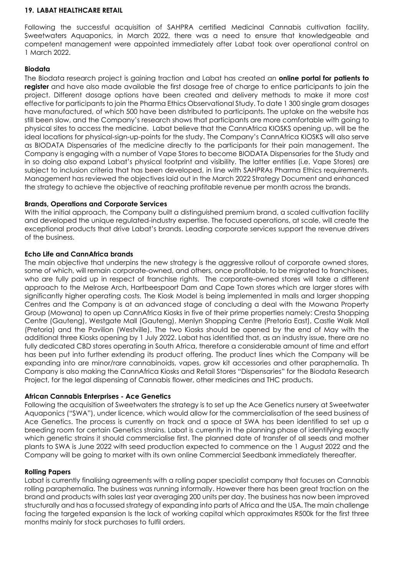#### **19. LABAT HEALTHCARE RETAIL**

Following the successful acquisition of SAHPRA certified Medicinal Cannabis cultivation facility, Sweetwaters Aquaponics, in March 2022, there was a need to ensure that knowledgeable and competent management were appointed immediately after Labat took over operational control on 1 March 2022.

### **Biodata**

The Biodata research project is gaining traction and Labat has created an **online portal for patients to register** and have also made available the first dosage free of charge to entice participants to join the project. Different dosage options have been created and delivery methods to make it more cost effective for participants to join the Pharma Ethics Observational Study. To date 1 300 single gram dosages have manufactured, of which 500 have been distributed to participants. The uptake on the website has still been slow, and the Company's research shows that participants are more comfortable with going to physical sites to access the medicine. Labat believe that the CannAfrica KIOSKS opening up, will be the ideal locations for physical-sign-up-points for the study. The Company's CannAfrica KIOSKS will also serve as BIODATA Dispensaries of the medicine directly to the participants for their pain management. The Company is engaging with a number of Vape Stores to become BIODATA Dispensaries for the Study and in so doing also expand Labat's physical footprint and visibility. The latter entities (i.e. Vape Stores) are subject to inclusion criteria that has been developed, in line with SAHPRAs Pharma Ethics requirements. Management has reviewed the objectives laid out in the March 2022 Strategy Document and enhanced the strategy to achieve the objective of reaching profitable revenue per month across the brands.

### **Brands, Operations and Corporate Services**

With the initial approach, the Company built a distinguished premium brand, a scaled cultivation facility and developed the unique regulated-industry expertise. The focused operations, at scale, will create the exceptional products that drive Labat's brands. Leading corporate services support the revenue drivers of the business.

# **Echo Life and CannAfrica brands**

The main objective that underpins the new strategy is the aggressive rollout of corporate owned stores, some of which, will remain corporate-owned, and others, once profitable, to be migrated to franchisees, who are fully paid up in respect of franchise rights. The corporate-owned stores will take a different approach to the Melrose Arch, Hartbeespoort Dam and Cape Town stores which are larger stores with significantly higher operating costs. The Kiosk Model is being implemented in malls and larger shopping Centres and the Company is at an advanced stage of concluding a deal with the Mowana Property Group (Mowana) to open up CannAfrica Kiosks in five of their prime properties namely: Cresta Shopping Centre (Gauteng), Westgate Mall (Gauteng), Menlyn Shopping Centre (Pretoria East), Castle Walk Mall (Pretoria) and the Pavilion (Westville). The two Kiosks should be opened by the end of May with the additional three Kiosks opening by 1 July 2022. Labat has identified that, as an industry issue, there are no fully dedicated CBD stores operating in South Africa, therefore a considerable amount of time and effort has been put into further extending its product offering. The product lines which the Company will be expanding into are minor/rare cannabinoids, vapes, grow kit accessories and other paraphernalia. Th Company is also making the CannAfrica Kiosks and Retail Stores "Dispensaries" for the Biodata Research Project, for the legal dispensing of Cannabis flower, other medicines and THC products.

### **African Cannabis Enterprises - Ace Genetics**

Following the acquisition of Sweetwaters the strategy is to set up the Ace Genetics nursery at Sweetwater Aquaponics ("SWA"), under licence, which would allow for the commercialisation of the seed business of Ace Genetics. The process is currently on track and a space at SWA has been identified to set up a breeding room for certain Genetics strains. Labat is currently in the planning phase of identifying exactly which genetic strains it should commercialise first. The planned date of transfer of all seeds and mother plants to SWA is June 2022 with seed production expected to commence on the 1 August 2022 and the Company will be going to market with its own online Commercial Seedbank immediately thereafter.

### **Rolling Papers**

Labat is currently finalising agreements with a rolling paper specialist company that focuses on Cannabis rolling paraphernalia. The business was running informally. However there has been great traction on the brand and products with sales last year averaging 200 units per day. The business has now been improved structurally and has a focussed strategy of expanding into parts of Africa and the USA. The main challenge facing the targeted expansion Is the lack of working capital which approximates R500k for the first three months mainly for stock purchases to fulfil orders.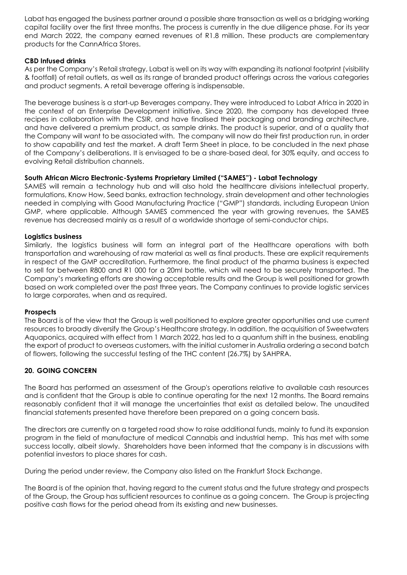Labat has engaged the business partner around a possible share transaction as well as a bridging working capital facility over the first three months. The process is currently in the due diligence phase. For its year end March 2022, the company earned revenues of R1.8 million. These products are complementary products for the CannAfrica Stores.

### **CBD Infused drinks**

As per the Company's Retail strategy, Labat is well on its way with expanding its national footprint (visibility & footfall) of retail outlets, as well as its range of branded product offerings across the various categories and product segments. A retail beverage offering is indispensable.

The beverage business is a start-up Beverages company. They were introduced to Labat Africa in 2020 in the context of an Enterprise Development initiative. Since 2020, the company has developed three recipes in collaboration with the CSIR, and have finalised their packaging and branding architecture, and have delivered a premium product, as sample drinks. The product is superior, and of a quality that the Company will want to be associated with. The company will now do their first production run, in order to show capability and test the market. A draft Term Sheet in place, to be concluded in the next phase of the Company's deliberations. It is envisaged to be a share-based deal, for 30% equity, and access to evolving Retail distribution channels.

### **South African Micro Electronic-Systems Proprietary Limited ("SAMES") - Labat Technology**

SAMES will remain a technology hub and will also hold the healthcare divisions intellectual property, formulations, Know How, Seed banks, extraction technology, strain development and other technologies needed in complying with Good Manufacturing Practice ("GMP") standards, including European Union GMP, where applicable. Although SAMES commenced the year with growing revenues, the SAMES revenue has decreased mainly as a result of a worldwide shortage of semi-conductor chips.

### **Logistics business**

Similarly, the logistics business will form an integral part of the Healthcare operations with both transportation and warehousing of raw material as well as final products. These are explicit requirements in respect of the GMP accreditation. Furthermore, the final product of the pharma business is expected to sell for between R800 and R1 000 for a 20ml bottle, which will need to be securely transported. The Company's marketing efforts are showing acceptable results and the Group is well positioned for growth based on work completed over the past three years. The Company continues to provide logistic services to large corporates, when and as required.

### **Prospects**

The Board is of the view that the Group is well positioned to explore greater opportunities and use current resources to broadly diversify the Group's Healthcare strategy. In addition, the acquisition of Sweetwaters Aquaponics, acquired with effect from 1 March 2022, has led to a quantum shift in the business, enabling the export of product to overseas customers, with the initial customer in Australia ordering a second batch of flowers, following the successful testing of the THC content (26.7%) by SAHPRA.

# **20. GOING CONCERN**

The Board has performed an assessment of the Group's operations relative to available cash resources and is confident that the Group is able to continue operating for the next 12 months. The Board remains reasonably confident that it will manage the uncertainties that exist as detailed below. The unaudited financial statements presented have therefore been prepared on a going concern basis.

The directors are currently on a targeted road show to raise additional funds, mainly to fund its expansion program in the field of manufacture of medical Cannabis and industrial hemp. This has met with some success locally, albeit slowly. Shareholders have been informed that the company is in discussions with potential investors to place shares for cash.

During the period under review, the Company also listed on the Frankfurt Stock Exchange.

The Board is of the opinion that, having regard to the current status and the future strategy and prospects of the Group, the Group has sufficient resources to continue as a going concern. The Group is projecting positive cash flows for the period ahead from its existing and new businesses.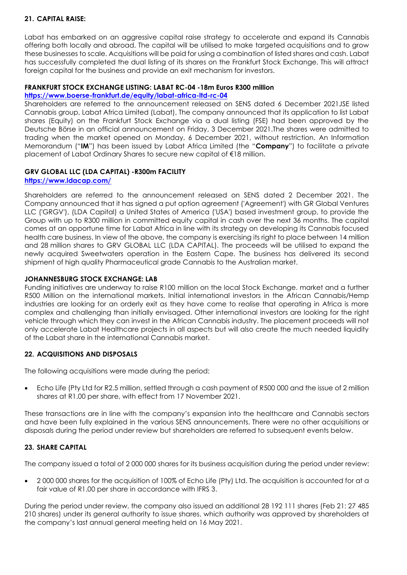# **21. CAPITAL RAISE:**

Labat has embarked on an aggressive capital raise strategy to accelerate and expand its Cannabis offering both locally and abroad. The capital will be utilised to make targeted acquisitions and to grow these businesses to scale. Acquisitions will be paid for using a combination of listed shares and cash. Labat has successfully completed the dual listing of its shares on the Frankfurt Stock Exchange. This will attract foreign capital for the business and provide an exit mechanism for investors.

### **FRANKFURT STOCK EXCHANGE LISTING: LABAT RC-04 -18m Euros R300 million**

### **<https://www.boerse-frankfurt.de/equity/labat-africa-ltd-rc-04>**

Shareholders are referred to the announcement released on SENS dated 6 December 2021JSE listed Cannabis group, Labat Africa Limited (Labat), The company announced that its application to list Labat shares (Equity) on the Frankfurt Stock Exchange via a dual listing (FSE) had been approved by the Deutsche Börse in an official announcement on Friday, 3 December 2021.The shares were admitted to trading when the market opened on Monday, 6 December 2021, without restriction. An Information Memorandum ("**IM**") has been issued by Labat Africa Limited (the "**Company**") to facilitate a private placement of Labat Ordinary Shares to secure new capital of €18 million.

# **GRV GLOBAL LLC (LDA CAPITAL) -R300m FACILITY**

### **<https://www.ldacap.com/>**

Shareholders are referred to the announcement released on SENS dated 2 December 2021. The Company announced that it has signed a put option agreement ('Agreement') with GR Global Ventures LLC ('GRGV'), (LDA Capital) a United States of America ('USA') based investment group, to provide the Group with up to R300 million in committed equity capital in cash over the next 36 months. The capital comes at an opportune time for Labat Africa in line with its strategy on developing its Cannabis focused health care business. In view of the above, the company is exercising its right to place between 14 million and 28 million shares to GRV GLOBAL LLC (LDA CAPITAL). The proceeds will be utilised to expand the newly acquired Sweetwaters operation in the Eastern Cape. The business has delivered its second shipment of high quality Pharmaceutical grade Cannabis to the Australian market.

### **JOHANNESBURG STOCK EXCHANGE: LAB**

Funding initiatives are underway to raise R100 million on the local Stock Exchange. market and a further R500 Million on the international markets. Initial international investors in the African Cannabis/Hemp industries are looking for an orderly exit as they have come to realise that operating in Africa is more complex and challenging than initially envisaged. Other international investors are looking for the right vehicle through which they can invest in the African Cannabis industry. The placement proceeds will not only accelerate Labat Healthcare projects in all aspects but will also create the much needed liquidity of the Labat share in the international Cannabis market.

# **22. ACQUISITIONS AND DISPOSALS**

The following acquisitions were made during the period:

• Echo Life (Pty Ltd for R2.5 million, settled through a cash payment of R500 000 and the issue of 2 million shares at R1.00 per share, with effect from 17 November 2021.

These transactions are in line with the company's expansion into the healthcare and Cannabis sectors and have been fully explained in the various SENS announcements. There were no other acquisitions or disposals during the period under review but shareholders are referred to subsequent events below.

# **23. SHARE CAPITAL**

The company issued a total of 2 000 000 shares for its business acquisition during the period under review:

• 2 000 000 shares for the acquisition of 100% of Echo Life (Pty) Ltd. The acquisition is accounted for at a fair value of R1.00 per share in accordance with IFRS 3.

During the period under review, the company also issued an additional 28 192 111 shares (Feb 21: 27 485 210 shares) under its general authority to issue shares, which authority was approved by shareholders at the company's last annual general meeting held on 16 May 2021.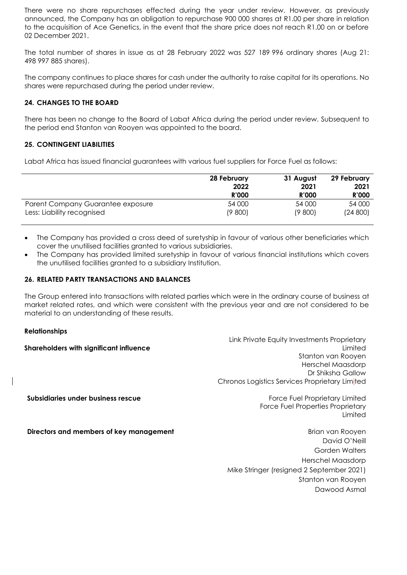There were no share repurchases effected during the year under review. However, as previously announced, the Company has an obligation to repurchase 900 000 shares at R1.00 per share in relation to the acquisition of Ace Genetics, in the event that the share price does not reach R1.00 on or before 02 December 2021.

The total number of shares in issue as at 28 February 2022 was 527 189 996 ordinary shares (Aug 21: 498 997 885 shares).

The company continues to place shares for cash under the authority to raise capital for its operations. No shares were repurchased during the period under review.

### **24. CHANGES TO THE BOARD**

There has been no change to the Board of Labat Africa during the period under review. Subsequent to the period end Stanton van Rooyen was appointed to the board.

### **25. CONTINGENT LIABILITIES**

Labat Africa has issued financial guarantees with various fuel suppliers for Force Fuel as follows:

|                                   | 28 February  | 31 August    | 29 February  |
|-----------------------------------|--------------|--------------|--------------|
|                                   | 2022         | 2021         | 2021         |
|                                   | <b>R'000</b> | <b>R'000</b> | <b>R'000</b> |
| Parent Company Guarantee exposure | 54 000       | 54 000       | 54 000       |
| Less: Liability recognised        | (9800)       | (9 800)      | (24800)      |

- The Company has provided a cross deed of suretyship in favour of various other beneficiaries which cover the unutilised facilities granted to various subsidiaries.
- The Company has provided limited suretyship in favour of various financial institutions which covers the unutilised facilities granted to a subsidiary Institution.

#### **26. RELATED PARTY TRANSACTIONS AND BALANCES**

The Group entered into transactions with related parties which were in the ordinary course of business at market related rates, and which were consistent with the previous year and are not considered to be material to an understanding of these results.

### **Relationships**

**Shareholders with significant influence** Link Private Equity Investments Proprietary Limited **Subsidiaries under business rescue** Stanton van Rooyen Herschel Maasdorp Dr Shiksha Gallow Chronos Logistics Services Proprietary Limited Force Fuel Proprietary Limited Force Fuel Properties Proprietary Limited **Directors and members of key management Brian van Room Brian van Rooyen** David O'Neill Gorden Walters Herschel Maasdorp

Mike Stringer (resigned 2 September 2021)

Stanton van Rooyen Dawood Asmal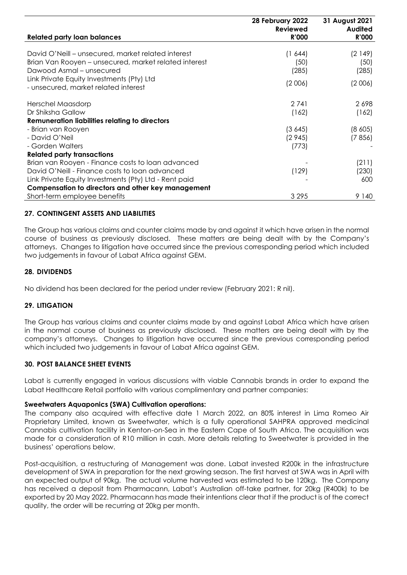| <b>Related party loan balances</b>                                                                                                                                                                                           | 28 February 2022<br><b>Reviewed</b><br><b>R'000</b> | 31 August 2021<br><b>Audited</b><br><b>R'000</b> |
|------------------------------------------------------------------------------------------------------------------------------------------------------------------------------------------------------------------------------|-----------------------------------------------------|--------------------------------------------------|
| David O'Neill – unsecured, market related interest<br>Brian Van Rooyen – unsecured, market related interest<br>Dawood Asmal – unsecured<br>Link Private Equity Investments (Pty) Ltd<br>- unsecured, market related interest | (1, 644)<br>(50)<br>(285)<br>(2006)                 | (2149)<br>(50)<br>(285)<br>(2006)                |
| Herschel Maasdorp<br>Dr Shiksha Gallow<br><b>Remuneration liabilities relating to directors</b>                                                                                                                              | 2741<br>(162)                                       | 2698<br>(162)                                    |
| - Brian van Rooyen<br>- David O'Neil<br>- Gorden Walters                                                                                                                                                                     | (3645)<br>(2945)<br>(773)                           | (8,605)<br>(7856)                                |
| <b>Related party transactions</b><br>Brian van Rooyen - Finance costs to loan advanced                                                                                                                                       |                                                     | (211)                                            |
| David O'Neill - Finance costs to loan advanced<br>Link Private Equity Investments (Pty) Ltd - Rent paid<br>Compensation to directors and other key management                                                                | (129)                                               | (230)<br>600                                     |
| Short-term employee benefits                                                                                                                                                                                                 | 3 2 9 5                                             | 9 1 4 0                                          |

# **27. CONTINGENT ASSETS AND LIABILITIES**

The Group has various claims and counter claims made by and against it which have arisen in the normal course of business as previously disclosed. These matters are being dealt with by the Company's attorneys. Changes to litigation have occurred since the previous corresponding period which included two judgements in favour of Labat Africa against GEM.

#### **28. DIVIDENDS**

No dividend has been declared for the period under review (February 2021: R nil).

### **29. LITIGATION**

The Group has various claims and counter claims made by and against Labat Africa which have arisen in the normal course of business as previously disclosed. These matters are being dealt with by the company's attorneys. Changes to litigation have occurred since the previous corresponding period which included two judgements in favour of Labat Africa against GEM.

#### **30. POST BALANCE SHEET EVENTS**

Labat is currently engaged in various discussions with viable Cannabis brands in order to expand the Labat Healthcare Retail portfolio with various complimentary and partner companies:

#### **Sweetwaters Aquaponics (SWA) Cultivation operations:**

The company also acquired with effective date 1 March 2022, an 80% interest in Lima Romeo Air Proprietary Limited, known as Sweetwater, which is a fully operational SAHPRA approved medicinal Cannabis cultivation facility in Kenton-on-Sea in the Eastern Cape of South Africa. The acquisition was made for a consideration of R10 million in cash. More details relating to Sweetwater is provided in the business' operations below.

Post-acquisition, a restructuring of Management was done. Labat invested R200k in the infrastructure development of SWA in preparation for the next growing season. The first harvest at SWA was in April with an expected output of 90kg. The actual volume harvested was estimated to be 120kg. The Company has received a deposit from Pharmacann, Labat's Australian off-take partner, for 20kg (R400k) to be exported by 20 May 2022. Pharmacann has made their intentions clear that if the product is of the correct quality, the order will be recurring at 20kg per month.